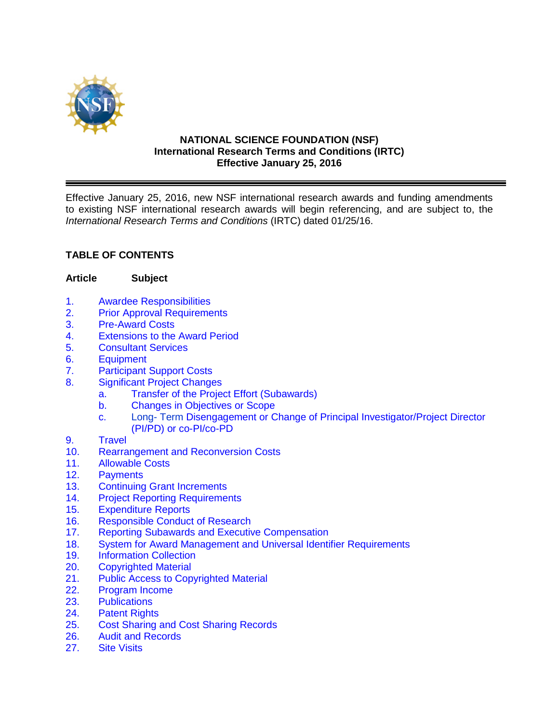

### **NATIONAL SCIENCE FOUNDATION (NSF) International Research Terms and Conditions (IRTC) Effective January 25, 2016**

Effective January 25, 2016, new NSF international research awards and funding amendments to existing NSF international research awards will begin referencing, and are subject to, the *International Research Terms and Conditions* (IRTC) dated 01/25/16.

# **TABLE OF CONTENTS**

### **Article Subject**

- 1. [Awardee Responsibilities](#page-2-0)<br>2. Prior Approval Requireme
- **[Prior Approval Requirements](#page-3-0)**
- 3. [Pre-Award Costs](#page-4-0)
- 4. [Extensions to the Award Period](#page-4-0)
- 5. [Consultant Services](#page-5-0)
- 6. [Equipment](#page-5-0)
- 7. [Participant Support Costs](#page-5-0)
- 8. [Significant Project Changes](#page-6-0)
	- [a. Transfer of the Project Effort \(Subawards\)](#page-6-0)
	- b. Changes [in Objectives or Scope](#page-6-0)
	- c. Long- Term Disengagement [or Change of Principal Investigator/Project Director](#page-7-0) (PI/PD) or co-PI/co-PD
- 9. [Travel](#page-7-0)
- 10. Rearrangement [and Reconversion Costs](#page-10-0)
- 11. [Allowable Costs](#page-10-0)
- 
- 12. [Payments](#page-11-0)<br>13. Continuino 13. [Continuing Grant](#page-11-0) Increments<br>14. Proiect Reporting Requirement
- **[Project Reporting](#page-11-0) Requirements**
- 15. [Expenditure Reports](#page-12-0)
- 16. [Responsible Conduct of Research](#page-13-0)
- 17. [Reporting Subawards and Executive Compensation](#page-13-0)
- 18. [System for Award Management and Universal Identifier](#page-16-0) Requirements
- 19. [Information Collection](#page-18-0)<br>20. Copyrighted Material
- **[Copyrighted](#page-18-0) Material**
- 21. [Public Access to Copyrighted Material](#page-19-0)
- 22. [Program Income](#page-20-0)
- 23. [Publications](#page-21-0)
- 24. [Patent Rights](#page-22-0)
- 25. Cost [Sharing and Cost](#page-22-0) Sharing Records
- 26. [Audit and Records](#page-23-0)<br>27. Site Visits
- **[Site Visits](#page-24-0)**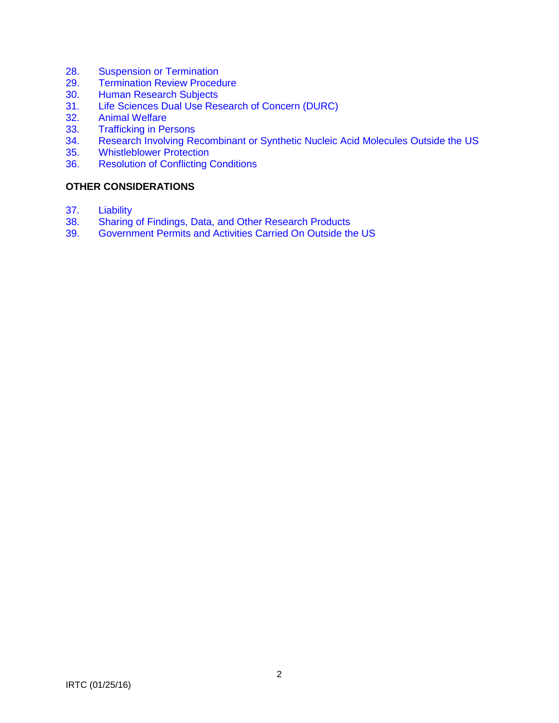- 28. [Suspension or Termination](#page-24-0)<br>29. Termination Review Proced
- **[Termination Review Procedure](#page-25-0)**
- 30. [Human Research Subjects](#page-26-0)<br>31. Life Sciences Dual Use Res
- 31. [Life Sciences Dual Use Research of Concern \(DURC\)](#page-26-0)<br>32. Animal Welfare
- 32. [Animal Welfare](#page-26-0)<br>33. Trafficking in Pe
- 33. [Trafficking in Persons](#page-26-0)<br>34. Research Involving Re
- Research Involving Recombinant [or Synthetic Nucleic Acid Molecules Outside the US](#page-26-0)
- 35. [Whistleblower Protection](#page-27-0)<br>36. Resolution of Conflicting (
- **[Resolution of Conflicting Conditions](#page-27-0)**

# **OTHER CONSIDERATIONS**

- 37. [Liability](#page-27-0)<br>38. Sharing
- 38. [Sharing of Findings, Data, and Other Research Products](#page-27-0)<br>39. Government Permits and Activities Carried On Outside the
- 39. [Government Permits and Activities Carried On Outside the US](#page-28-0)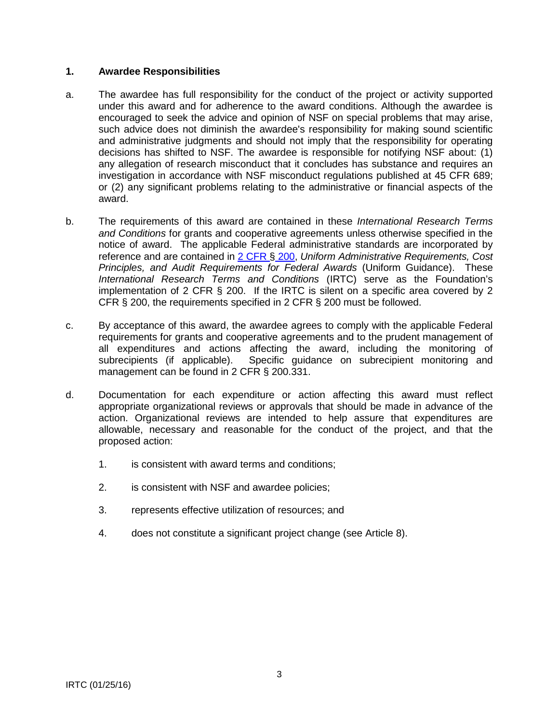### <span id="page-2-0"></span>**1. Awardee Responsibilities**

- a. The awardee has full responsibility for the conduct of the project or activity supported under this award and for adherence to the award conditions. Although the awardee is encouraged to seek the advice and opinion of NSF on special problems that may arise, such advice does not diminish the awardee's responsibility for making sound scientific and administrative judgments and should not imply that the responsibility for operating decisions has shifted to NSF. The awardee is responsible for notifying NSF about: (1) any allegation of research misconduct that it concludes has substance and requires an investigation in accordance with NSF misconduct regulations published at 45 CFR 689; or (2) any significant problems relating to the administrative or financial aspects of the award.
- b. The requirements of this award are contained in these *International Research Terms and Conditions* for grants and cooperative agreements unless otherwise specified in the notice of award. The applicable Federal administrative standards are incorporated by reference and are contained in [2 CFR §](http://www.ecfr.gov/cgi-bin/text-idx?SID=704835d27377ef5213a51c149de40cab&node=2:1.1.2.2.1&rgn=div5) 200, *Uniform Administrative Requirements, Cost Principles, and Audit Requirements for Federal Awards* (Uniform Guidance). These *International Research Terms and Conditions* (IRTC) serve as the Foundation's implementation of 2 CFR  $\S$  200. If the IRTC is silent on a specific area covered by 2 CFR § 200, the requirements specified in 2 CFR § 200 must be followed.
- c. By acceptance of this award, the awardee agrees to comply with the applicable Federal requirements for grants and cooperative agreements and to the prudent management of all expenditures and actions affecting the award, including the monitoring of subrecipients (if applicable). Specific guidance on subrecipient monitoring and management can be found in 2 CFR § 200.331.
- d. Documentation for each expenditure or action affecting this award must reflect appropriate organizational reviews or approvals that should be made in advance of the action. Organizational reviews are intended to help assure that expenditures are allowable, necessary and reasonable for the conduct of the project, and that the proposed action:
	- 1. is consistent with award terms and conditions;
	- 2. is consistent with NSF and awardee policies;
	- 3. represents effective utilization of resources; and
	- 4. does not constitute a significant project change (see Article 8).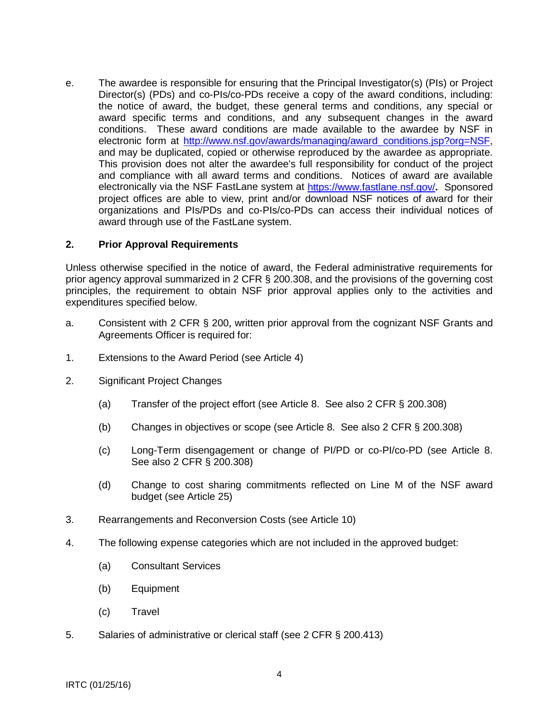<span id="page-3-0"></span>e. The awardee is responsible for ensuring that the Principal Investigator(s) (PIs) or Project Director(s) (PDs) and co-PIs/co-PDs receive a copy of the award conditions, including: the notice of award, the budget, these general terms and conditions, any special or award specific terms and conditions, and any subsequent changes in the award conditions. These award conditions are made available to the awardee by NSF in electronic form at http://www.nsf.gov/awards/managing/award\_conditions.jsp?org=NSF, and may be duplicated, copied or otherwise reproduced by the awardee as appropriate. This provision does not alter the awardee's full responsibility for conduct of the project and compliance with all award terms and conditions. Notices of award are available electronically via the NSF FastLane system at<https://www.fastlane.nsf.gov/>**.** Sponsored project offices are able to view, print and/or download NSF notices of award for their organizations and PIs/PDs and co-PIs/co-PDs can access their individual notices of award through use of the FastLane system.

### **2. Prior Approval Requirements**

Unless otherwise specified in the notice of award, the Federal administrative requirements for prior agency approval summarized in 2 CFR § 200.308, and the provisions of the governing cost principles, the requirement to obtain NSF prior approval applies only to the activities and expenditures specified below.

- a. Consistent with 2 CFR § 200, written prior approval from the cognizant NSF Grants and Agreements Officer is required for:
- 1. Extensions to the Award Period (see Article 4)
- 2. Significant Project Changes
	- (a) Transfer of the project effort (see Article 8. See also 2 CFR § 200.308)
	- (b) Changes in objectives or scope (see Article 8. See also 2 CFR § 200.308)
	- (c) Long-Term disengagement or change of PI/PD or co-PI/co-PD (see Article 8. See also 2 CFR § 200.308)
	- (d) Change to cost sharing commitments reflected on Line M of the NSF award budget (see Article 25)
- 3. Rearrangements and Reconversion Costs (see Article 10)
- 4. The following expense categories which are not included in the approved budget:
	- (a) Consultant Services
	- (b) Equipment
	- (c) Travel
- 5. Salaries of administrative or clerical staff (see 2 CFR § 200.413)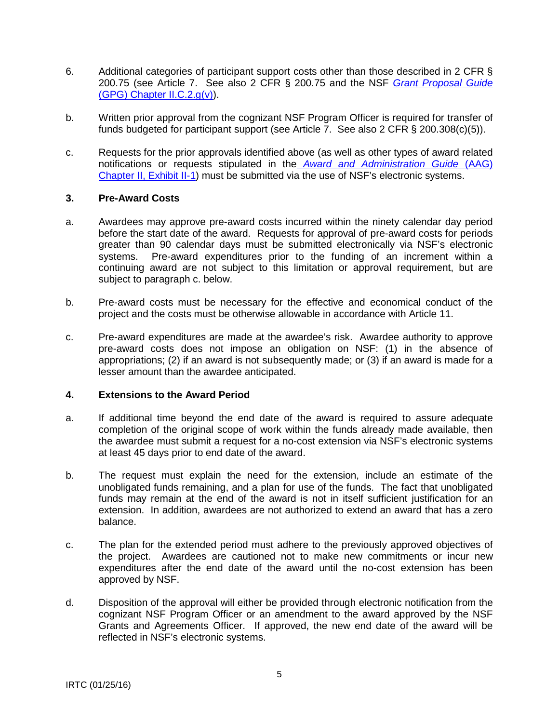- <span id="page-4-0"></span>6. Additional categories of participant support costs other than those described in 2 CFR § 200.75 (see Article 7. See also 2 CFR § 200.75 and the NSF *[Grant Proposal Guide](http://www.nsf.gov/pubs/policydocs/pappguide/nsf16001/gpg_2.jsp#IIC2gv)* [\(GPG\) Chapter II.C.2.g\(v\)\)](http://www.nsf.gov/pubs/policydocs/pappguide/nsf16001/gpg_2.jsp#IIC2gv).
- b. Written prior approval from the cognizant NSF Program Officer is required for transfer of funds budgeted for participant support (see Article 7. See also 2 CFR § 200.308(c)(5)).
- c. Requests for the prior approvals identified above (as well as other types of award related notifications or requests stipulated in the *[Award and Administration Guide](http://www.nsf.gov/pubs/policydocs/pappguide/nsf16001/aag_2ex1.pdf)* (AAG) [Chapter II, Exhibit II-1\)](http://www.nsf.gov/pubs/policydocs/pappguide/nsf16001/aag_2ex1.pdf) must be submitted via the use of NSF's electronic systems.

### **3. Pre-Award Costs**

- a. Awardees may approve pre-award costs incurred within the ninety calendar day period before the start date of the award. Requests for approval of pre-award costs for periods greater than 90 calendar days must be submitted electronically via NSF's electronic<br>systems. Pre-award expenditures prior to the funding of an increment within a Pre-award expenditures prior to the funding of an increment within a continuing award are not subject to this limitation or approval requirement, but are subject to paragraph c. below.
- b. Pre-award costs must be necessary for the effective and economical conduct of the project and the costs must be otherwise allowable in accordance with Article 11.
- c. Pre-award expenditures are made at the awardee's risk. Awardee authority to approve pre-award costs does not impose an obligation on NSF: (1) in the absence of appropriations; (2) if an award is not subsequently made; or (3) if an award is made for a lesser amount than the awardee anticipated.

#### **4. Extensions to the Award Period**

- a. If additional time beyond the end date of the award is required to assure adequate completion of the original scope of work within the funds already made available, then the awardee must submit a request for a no-cost extension via NSF's electronic systems at least 45 days prior to end date of the award.
- b. The request must explain the need for the extension, include an estimate of the unobligated funds remaining, and a plan for use of the funds. The fact that unobligated funds may remain at the end of the award is not in itself sufficient justification for an extension. In addition, awardees are not authorized to extend an award that has a zero balance.
- c. The plan for the extended period must adhere to the previously approved objectives of the project. Awardees are cautioned not to make new commitments or incur new expenditures after the end date of the award until the no-cost extension has been approved by NSF.
- d. Disposition of the approval will either be provided through electronic notification from the cognizant NSF Program Officer or an amendment to the award approved by the NSF Grants and Agreements Officer. If approved, the new end date of the award will be reflected in NSF's electronic systems.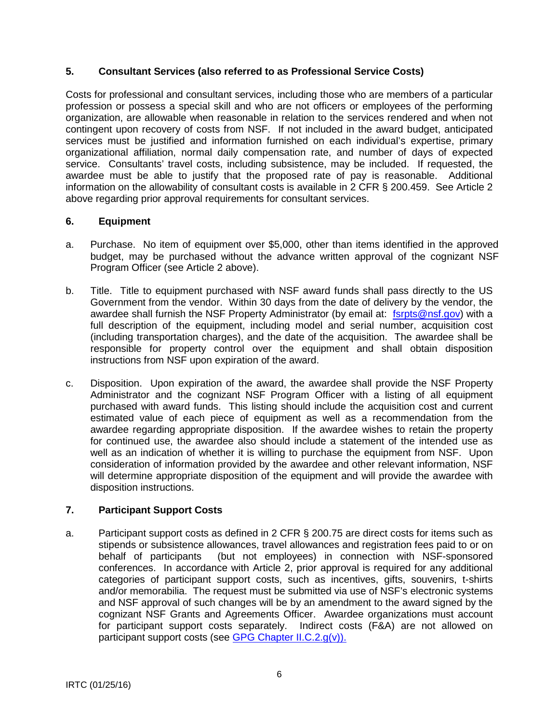# <span id="page-5-0"></span>**5. Consultant Services (also referred to as Professional Service Costs)**

Costs for professional and consultant services, including those who are members of a particular profession or possess a special skill and who are not officers or employees of the performing organization, are allowable when reasonable in relation to the services rendered and when not contingent upon recovery of costs from NSF. If not included in the award budget, anticipated services must be justified and information furnished on each individual's expertise, primary organizational affiliation, normal daily compensation rate, and number of days of expected service. Consultants' travel costs, including subsistence, may be included. If requested, the awardee must be able to justify that the proposed rate of pay is reasonable. Additional information on the allowability of consultant costs is available in 2 CFR § 200.459. See Article 2 above regarding prior approval requirements for consultant services.

# **6. Equipment**

- a. Purchase. No item of equipment over \$5,000, other than items identified in the approved budget, may be purchased without the advance written approval of the cognizant NSF Program Officer (see Article 2 above).
- b. Title. Title to equipment purchased with NSF award funds shall pass directly to the US Government from the vendor. Within 30 days from the date of delivery by the vendor, the awardee shall furnish the NSF Property Administrator (by email at: [fsrpts@nsf.gov\)](mailto:fsrpts@nsf.gov) with a full description of the equipment, including model and serial number, acquisition cost (including transportation charges), and the date of the acquisition. The awardee shall be responsible for property control over the equipment and shall obtain disposition instructions from NSF upon expiration of the award.
- c. Disposition. Upon expiration of the award, the awardee shall provide the NSF Property Administrator and the cognizant NSF Program Officer with a listing of all equipment purchased with award funds. This listing should include the acquisition cost and current estimated value of each piece of equipment as well as a recommendation from the awardee regarding appropriate disposition. If the awardee wishes to retain the property for continued use, the awardee also should include a statement of the intended use as well as an indication of whether it is willing to purchase the equipment from NSF. Upon consideration of information provided by the awardee and other relevant information, NSF will determine appropriate disposition of the equipment and will provide the awardee with disposition instructions.

# **7. Participant Support Costs**

a. Participant support costs as defined in 2 CFR § 200.75 are direct costs for items such as stipends or subsistence allowances, travel allowances and registration fees paid to or on behalf of participants (but not employees) in connection with NSF-sponsored conferences. In accordance with Article 2, prior approval is required for any additional categories of participant support costs, such as incentives, gifts, souvenirs, t-shirts and/or memorabilia. The request must be submitted via use of NSF's electronic systems and NSF approval of such changes will be by an amendment to the award signed by the cognizant NSF Grants and Agreements Officer. Awardee organizations must account for participant support costs separately. Indirect costs (F&A) are not allowed on participant support costs (see [GPG Chapter II.C.2.g\(v\)\).](http://www.nsf.gov/pubs/policydocs/pappguide/nsf16001/gpg_2.jsp#IIC2gv)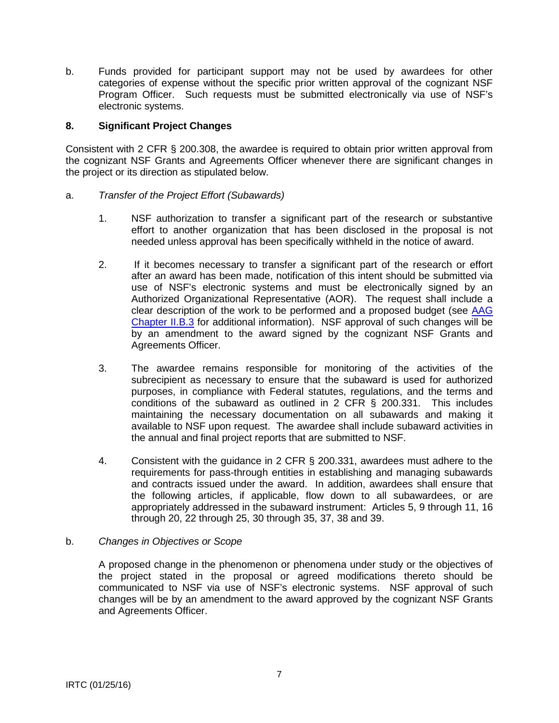<span id="page-6-0"></span>b. Funds provided for participant support may not be used by awardees for other categories of expense without the specific prior written approval of the cognizant NSF Program Officer. Such requests must be submitted electronically via use of NSF's electronic systems.

### **8. Significant Project Changes**

Consistent with 2 CFR § 200.308, the awardee is required to obtain prior written approval from the cognizant NSF Grants and Agreements Officer whenever there are significant changes in the project or its direction as stipulated below.

### a. *Transfer of the Project Effort (Subawards)*

- 1. NSF authorization to transfer a significant part of the research or substantive effort to another organization that has been disclosed in the proposal is not needed unless approval has been specifically withheld in the notice of award.
- 2. If it becomes necessary to transfer a significant part of the research or effort after an award has been made, notification of this intent should be submitted via use of NSF's electronic systems and must be electronically signed by an Authorized Organizational Representative (AOR). The request shall include a clear description of the work to be performed and a proposed budget (see [AAG](http://www.nsf.gov/pubs/policydocs/pappguide/nsf16001/aag_2.jsp#IIB3)  [Chapter II.B.3](http://www.nsf.gov/pubs/policydocs/pappguide/nsf16001/aag_2.jsp#IIB3) for additional information). NSF approval of such changes will be by an amendment to the award signed by the cognizant NSF Grants and Agreements Officer.
- 3. The awardee remains responsible for monitoring of the activities of the subrecipient as necessary to ensure that the subaward is used for authorized purposes, in compliance with Federal statutes, regulations, and the terms and conditions of the subaward as outlined in 2 CFR § 200.331. This includes maintaining the necessary documentation on all subawards and making it available to NSF upon request. The awardee shall include subaward activities in the annual and final project reports that are submitted to NSF.
- 4. Consistent with the guidance in 2 CFR § 200.331, awardees must adhere to the requirements for pass-through entities in establishing and managing subawards and contracts issued under the award. In addition, awardees shall ensure that the following articles, if applicable, flow down to all subawardees, or are appropriately addressed in the subaward instrument: Articles 5, 9 through 11, 16 through 20, 22 through 25, 30 through 35, 37, 38 and 39.

#### b. *Changes in Objectives or Scope*

A proposed change in the phenomenon or phenomena under study or the objectives of the project stated in the proposal or agreed modifications thereto should be communicated to NSF via use of NSF's electronic systems. NSF approval of such changes will be by an amendment to the award approved by the cognizant NSF Grants and Agreements Officer.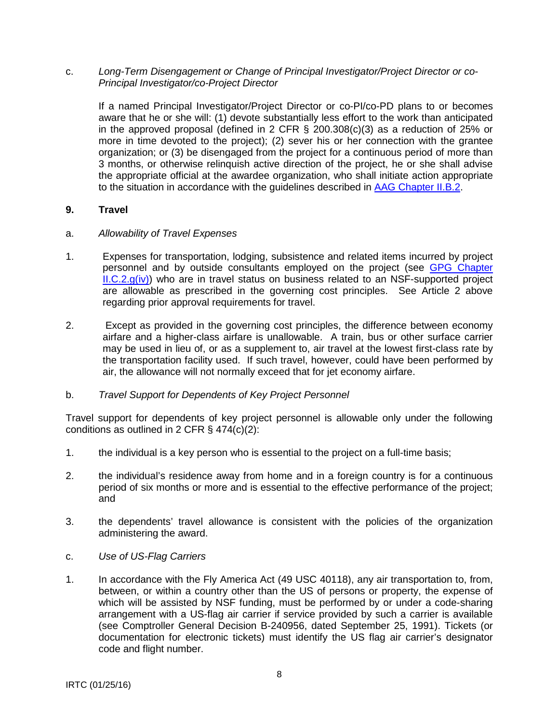<span id="page-7-0"></span>c. *Long-Term Disengagement or Change of Principal Investigator/Project Director or co-Principal Investigator/co-Project Director*

If a named Principal Investigator/Project Director or co-PI/co-PD plans to or becomes aware that he or she will: (1) devote substantially less effort to the work than anticipated in the approved proposal (defined in 2 CFR § 200.308(c)(3) as a reduction of 25% or more in time devoted to the project); (2) sever his or her connection with the grantee organization; or (3) be disengaged from the project for a continuous period of more than 3 months, or otherwise relinquish active direction of the project, he or she shall advise the appropriate official at the awardee organization, who shall initiate action appropriate to the situation in accordance with the guidelines described in [AAG Chapter II.B.2.](http://www.nsf.gov/pubs/policydocs/pappguide/nsf16001/aag_2.jsp#IIB2)

### **9. Travel**

- a. *Allowability of Travel Expenses*
- 1. Expenses for transportation, lodging, subsistence and related items incurred by project personnel and by outside consultants employed on the project (see [GPG Chapter](http://www.nsf.gov/pubs/policydocs/pappguide/nsf16001/gpg_2.jsp#IIC2giv)   $ILC.2.g(iv)$  who are in travel status on business related to an NSF-supported project are allowable as prescribed in the governing cost principles. See Article 2 above regarding prior approval requirements for travel.
- 2. Except as provided in the governing cost principles, the difference between economy airfare and a higher-class airfare is unallowable. A train, bus or other surface carrier may be used in lieu of, or as a supplement to, air travel at the lowest first-class rate by the transportation facility used. If such travel, however, could have been performed by air, the allowance will not normally exceed that for jet economy airfare.

#### b. *Travel Support for Dependents of Key Project Personnel*

Travel support for dependents of key project personnel is allowable only under the following conditions as outlined in 2 CFR § 474(c)(2):

- 1. the individual is a key person who is essential to the project on a full-time basis;
- 2. the individual's residence away from home and in a foreign country is for a continuous period of six months or more and is essential to the effective performance of the project; and
- 3. the dependents' travel allowance is consistent with the policies of the organization administering the award.
- c. *Use of US-Flag Carriers*
- 1. In accordance with the Fly America Act (49 USC 40118), any air transportation to, from, between, or within a country other than the US of persons or property, the expense of which will be assisted by NSF funding, must be performed by or under a code-sharing arrangement with a US-flag air carrier if service provided by such a carrier is available (see Comptroller General Decision B-240956, dated September 25, 1991). Tickets (or documentation for electronic tickets) must identify the US flag air carrier's designator code and flight number.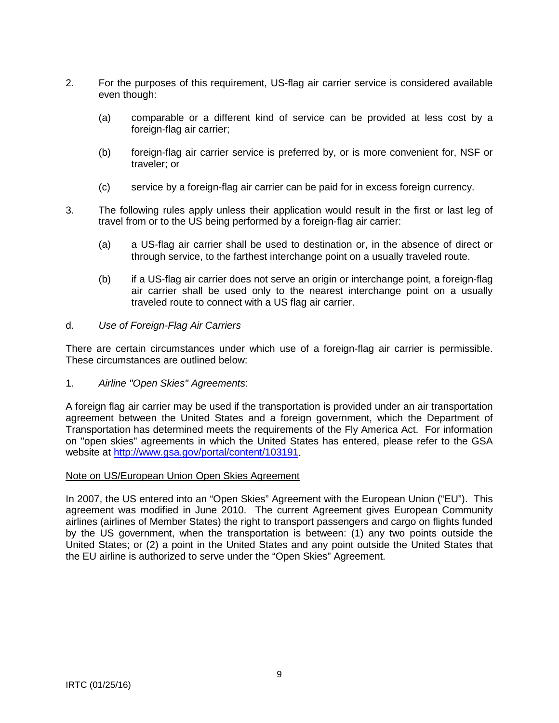- 2. For the purposes of this requirement, US-flag air carrier service is considered available even though:
	- (a) comparable or a different kind of service can be provided at less cost by a foreign-flag air carrier;
	- (b) foreign-flag air carrier service is preferred by, or is more convenient for, NSF or traveler; or
	- (c) service by a foreign-flag air carrier can be paid for in excess foreign currency.
- 3. The following rules apply unless their application would result in the first or last leg of travel from or to the US being performed by a foreign-flag air carrier:
	- (a) a US-flag air carrier shall be used to destination or, in the absence of direct or through service, to the farthest interchange point on a usually traveled route.
	- (b) if a US-flag air carrier does not serve an origin or interchange point, a foreign-flag air carrier shall be used only to the nearest interchange point on a usually traveled route to connect with a US flag air carrier.

### d. *Use of Foreign-Flag Air Carriers*

There are certain circumstances under which use of a foreign-flag air carrier is permissible. These circumstances are outlined below:

1. *Airline "Open Skies" Agreements*:

A foreign flag air carrier may be used if the transportation is provided under an air transportation agreement between the United States and a foreign government, which the Department of Transportation has determined meets the requirements of the Fly America Act. For information on "open skies" agreements in which the United States has entered, please refer to the GSA website at [http://www.gsa.gov/portal/content/103191.](http://www.gsa.gov/portal/content/103191)

#### Note on US/European Union Open Skies Agreement

In 2007, the US entered into an "Open Skies" Agreement with the European Union ("EU"). This agreement was modified in June 2010. The current Agreement gives European Community airlines (airlines of Member States) the right to transport passengers and cargo on flights funded by the US government, when the transportation is between: (1) any two points outside the United States; or (2) a point in the United States and any point outside the United States that the EU airline is authorized to serve under the "Open Skies" Agreement.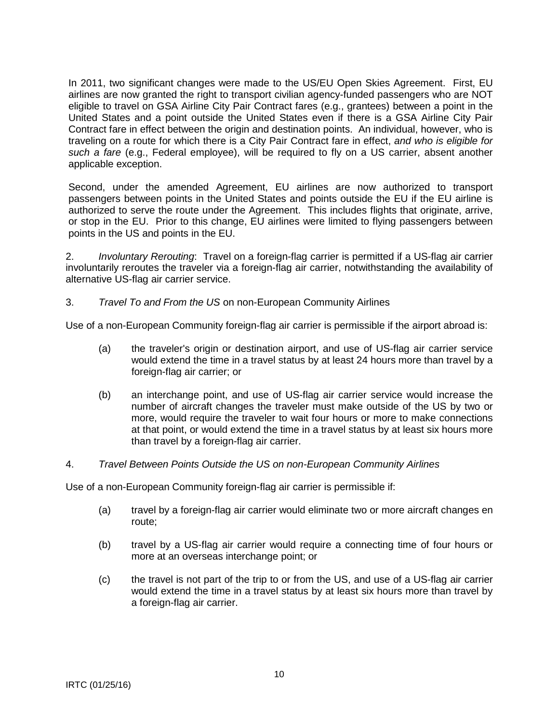In 2011, two significant changes were made to the US/EU Open Skies Agreement. First, EU airlines are now granted the right to transport civilian agency-funded passengers who are NOT eligible to travel on GSA Airline City Pair Contract fares (e.g., grantees) between a point in the United States and a point outside the United States even if there is a GSA Airline City Pair Contract fare in effect between the origin and destination points. An individual, however, who is traveling on a route for which there is a City Pair Contract fare in effect, *and who is eligible for such a fare* (e.g., Federal employee), will be required to fly on a US carrier, absent another applicable exception.

Second, under the amended Agreement, EU airlines are now authorized to transport passengers between points in the United States and points outside the EU if the EU airline is authorized to serve the route under the Agreement. This includes flights that originate, arrive, or stop in the EU. Prior to this change, EU airlines were limited to flying passengers between points in the US and points in the EU.

2. *Involuntary Rerouting*: Travel on a foreign-flag carrier is permitted if a US-flag air carrier involuntarily reroutes the traveler via a foreign-flag air carrier, notwithstanding the availability of alternative US-flag air carrier service.

3. *Travel To and From the US* on non-European Community Airlines

Use of a non-European Community foreign-flag air carrier is permissible if the airport abroad is:

- (a) the traveler's origin or destination airport, and use of US-flag air carrier service would extend the time in a travel status by at least 24 hours more than travel by a foreign-flag air carrier; or
- (b) an interchange point, and use of US-flag air carrier service would increase the number of aircraft changes the traveler must make outside of the US by two or more, would require the traveler to wait four hours or more to make connections at that point, or would extend the time in a travel status by at least six hours more than travel by a foreign-flag air carrier.
- 4. *Travel Between Points Outside the US on non-European Community Airlines*

Use of a non-European Community foreign-flag air carrier is permissible if:

- (a) travel by a foreign-flag air carrier would eliminate two or more aircraft changes en route;
- (b) travel by a US-flag air carrier would require a connecting time of four hours or more at an overseas interchange point; or
- (c) the travel is not part of the trip to or from the US, and use of a US-flag air carrier would extend the time in a travel status by at least six hours more than travel by a foreign-flag air carrier.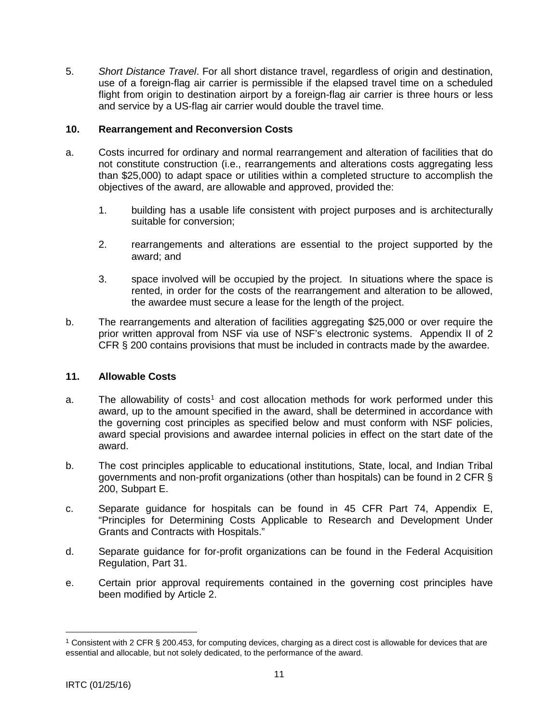<span id="page-10-0"></span>5. *Short Distance Travel*. For all short distance travel, regardless of origin and destination, use of a foreign-flag air carrier is permissible if the elapsed travel time on a scheduled flight from origin to destination airport by a foreign-flag air carrier is three hours or less and service by a US-flag air carrier would double the travel time.

### **10. Rearrangement and Reconversion Costs**

- a. Costs incurred for ordinary and normal rearrangement and alteration of facilities that do not constitute construction (i.e., rearrangements and alterations costs aggregating less than \$25,000) to adapt space or utilities within a completed structure to accomplish the objectives of the award, are allowable and approved, provided the:
	- 1. building has a usable life consistent with project purposes and is architecturally suitable for conversion;
	- 2. rearrangements and alterations are essential to the project supported by the award; and
	- 3. space involved will be occupied by the project. In situations where the space is rented, in order for the costs of the rearrangement and alteration to be allowed, the awardee must secure a lease for the length of the project.
- b. The rearrangements and alteration of facilities aggregating \$25,000 or over require the prior written approval from NSF via use of NSF's electronic systems. Appendix II of 2 CFR § 200 contains provisions that must be included in contracts made by the awardee.

#### **11. Allowable Costs**

- a. The allowability of costs<sup>[1](#page-10-1)</sup> and cost allocation methods for work performed under this award, up to the amount specified in the award, shall be determined in accordance with the governing cost principles as specified below and must conform with NSF policies, award special provisions and awardee internal policies in effect on the start date of the award.
- b. The cost principles applicable to educational institutions, State, local, and Indian Tribal governments and non-profit organizations (other than hospitals) can be found in 2 CFR § 200, Subpart E.
- c. Separate guidance for hospitals can be found in 45 CFR Part 74, Appendix E, "Principles for Determining Costs Applicable to Research and Development Under Grants and Contracts with Hospitals."
- d. Separate guidance for for-profit organizations can be found in the Federal Acquisition Regulation, Part 31.
- e. Certain prior approval requirements contained in the governing cost principles have been modified by Article 2.

 $\overline{a}$ 

<span id="page-10-1"></span><sup>1</sup> Consistent with 2 CFR § 200.453, for computing devices, charging as a direct cost is allowable for devices that are essential and allocable, but not solely dedicated, to the performance of the award.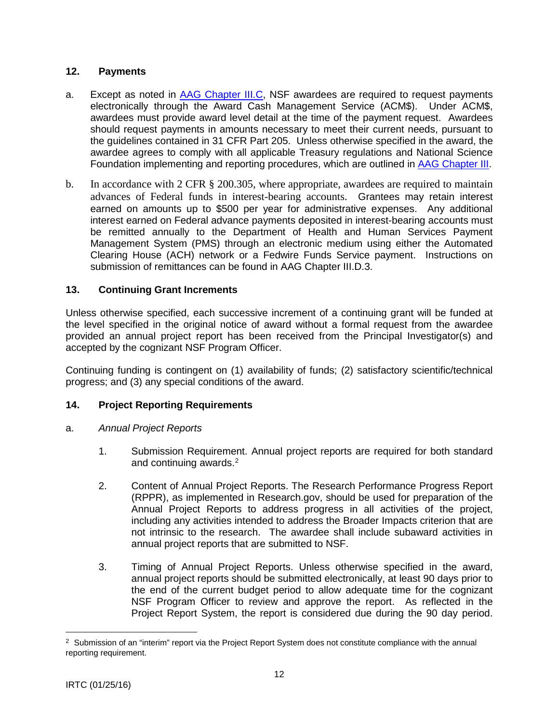# <span id="page-11-0"></span>**12. Payments**

- a. Except as noted in [AAG Chapter III.C,](http://www.nsf.gov/pubs/policydocs/pappguide/nsf16001/aag_3.jsp#IIIC) NSF awardees are required to request payments electronically through the Award Cash Management Service (ACM\$). Under ACM\$, awardees must provide award level detail at the time of the payment request. Awardees should request payments in amounts necessary to meet their current needs, pursuant to the guidelines contained in 31 CFR Part 205. Unless otherwise specified in the award, the awardee agrees to comply with all applicable Treasury regulations and National Science Foundation implementing and reporting procedures, which are outlined in [AAG Chapter III.](http://www.nsf.gov/pubs/policydocs/pappguide/nsf16001/aag_3.jsp)
- b. In accordance with 2 CFR § 200.305, where appropriate, awardees are required to maintain advances of Federal funds in interest-bearing accounts. Grantees may retain interest earned on amounts up to \$500 per year for administrative expenses. Any additional interest earned on Federal advance payments deposited in interest-bearing accounts must be remitted annually to the Department of Health and Human Services Payment Management System (PMS) through an electronic medium using either the Automated Clearing House (ACH) network or a Fedwire Funds Service payment. Instructions on submission of remittances can be found in AAG Chapter III.D.3.

# **13. Continuing Grant Increments**

Unless otherwise specified, each successive increment of a continuing grant will be funded at the level specified in the original notice of award without a formal request from the awardee provided an annual project report has been received from the Principal Investigator(s) and accepted by the cognizant NSF Program Officer.

Continuing funding is contingent on (1) availability of funds; (2) satisfactory scientific/technical progress; and (3) any special conditions of the award.

# **14. Project Reporting Requirements**

- a. *Annual Project Reports*
	- 1. Submission Requirement. Annual project reports are required for both standard and continuing awards.<sup>[2](#page-11-1)</sup>
	- 2. Content of Annual Project Reports. The Research Performance Progress Report (RPPR), as implemented in Research.gov, should be used for preparation of the Annual Project Reports to address progress in all activities of the project, including any activities intended to address the Broader Impacts criterion that are not intrinsic to the research. The awardee shall include subaward activities in annual project reports that are submitted to NSF.
	- 3. Timing of Annual Project Reports. Unless otherwise specified in the award, annual project reports should be submitted electronically, at least 90 days prior to the end of the current budget period to allow adequate time for the cognizant NSF Program Officer to review and approve the report. As reflected in the Project Report System, the report is considered due during the 90 day period.

 $\overline{a}$ 

<span id="page-11-1"></span><sup>&</sup>lt;sup>2</sup> Submission of an "interim" report via the Project Report System does not constitute compliance with the annual reporting requirement.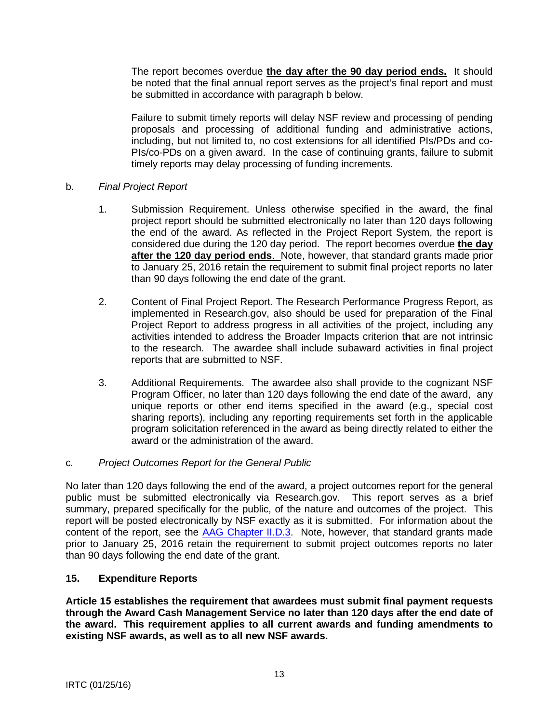<span id="page-12-0"></span>The report becomes overdue **the day after the 90 day period ends.** It should be noted that the final annual report serves as the project's final report and must be submitted in accordance with paragraph b below.

Failure to submit timely reports will delay NSF review and processing of pending proposals and processing of additional funding and administrative actions, including, but not limited to, no cost extensions for all identified PIs/PDs and co-PIs/co-PDs on a given award. In the case of continuing grants, failure to submit timely reports may delay processing of funding increments.

# b. *Final Project Report*

- 1. Submission Requirement. Unless otherwise specified in the award, the final project report should be submitted electronically no later than 120 days following the end of the award. As reflected in the Project Report System, the report is considered due during the 120 day period. The report becomes overdue **the day after the 120 day period ends**. Note, however, that standard grants made prior to January 25, 2016 retain the requirement to submit final project reports no later than 90 days following the end date of the grant.
- 2. Content of Final Project Report. The Research Performance Progress Report, as implemented in Research.gov, also should be used for preparation of the Final Project Report to address progress in all activities of the project, including any activities intended to address the Broader Impacts criterion t**h**at are not intrinsic to the research. The awardee shall include subaward activities in final project reports that are submitted to NSF.
- 3. Additional Requirements. The awardee also shall provide to the cognizant NSF Program Officer, no later than 120 days following the end date of the award, any unique reports or other end items specified in the award (e.g., special cost sharing reports), including any reporting requirements set forth in the applicable program solicitation referenced in the award as being directly related to either the award or the administration of the award.

# c*. Project Outcomes Report for the General Public*

No later than 120 days following the end of the award, a project outcomes report for the general public must be submitted electronically via Research.gov. This report serves as a brief summary, prepared specifically for the public, of the nature and outcomes of the project. This report will be posted electronically by NSF exactly as it is submitted. For information about the content of the report, see the [AAG Chapter II.D.3.](http://www.nsf.gov/pubs/policydocs/pappguide/nsf16001/aag_2.jsp#IID3) Note, however, that standard grants made prior to January 25, 2016 retain the requirement to submit project outcomes reports no later than 90 days following the end date of the grant.

# **15. Expenditure Reports**

**Article 15 establishes the requirement that awardees must submit final payment requests through the Award Cash Management Service no later than 120 days after the end date of the award. This requirement applies to all current awards and funding amendments to existing NSF awards, as well as to all new NSF awards.**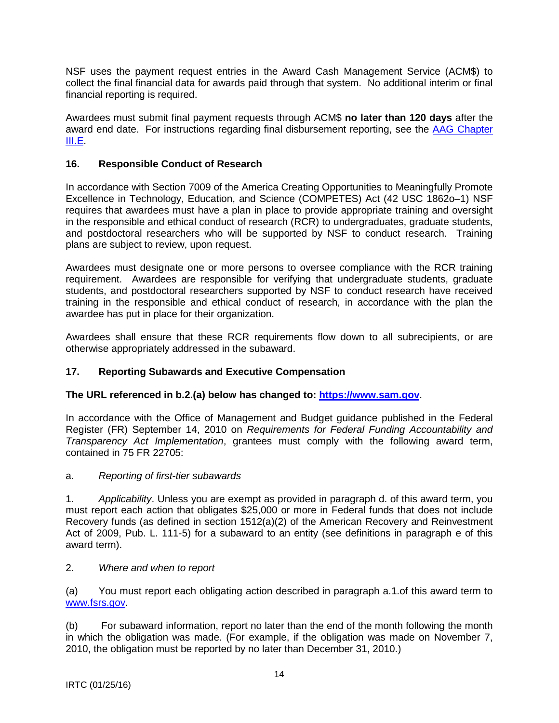<span id="page-13-0"></span>NSF uses the payment request entries in the Award Cash Management Service (ACM\$) to collect the final financial data for awards paid through that system. No additional interim or final financial reporting is required.

Awardees must submit final payment requests through ACM\$ **no later than 120 days** after the award end date. For instructions regarding final disbursement reporting, see the [AAG Chapter](http://www.nsf.gov/pubs/policydocs/pappguide/nsf15001/aag_3.jsp#IIIE)  [III.E.](http://www.nsf.gov/pubs/policydocs/pappguide/nsf15001/aag_3.jsp#IIIE)

# **16. Responsible Conduct of Research**

In accordance with Section 7009 of the America Creating Opportunities to Meaningfully Promote Excellence in Technology, Education, and Science (COMPETES) Act (42 USC 1862o–1) NSF requires that awardees must have a plan in place to provide appropriate training and oversight in the responsible and ethical conduct of research (RCR) to undergraduates, graduate students, and postdoctoral researchers who will be supported by NSF to conduct research. Training plans are subject to review, upon request.

Awardees must designate one or more persons to oversee compliance with the RCR training requirement. Awardees are responsible for verifying that undergraduate students, graduate students, and postdoctoral researchers supported by NSF to conduct research have received training in the responsible and ethical conduct of research, in accordance with the plan the awardee has put in place for their organization.

Awardees shall ensure that these RCR requirements flow down to all subrecipients, or are otherwise appropriately addressed in the subaward.

# **17. Reporting Subawards and Executive Compensation**

# **The URL referenced in b.2.(a) below has changed to: [https://www.sam.gov](https://www.sam.gov/)**.

In accordance with the Office of Management and Budget guidance published in the Federal Register (FR) September 14, 2010 on *Requirements for Federal Funding Accountability and Transparency Act Implementation*, grantees must comply with the following award term, contained in 75 FR 22705:

# a. *Reporting of first-tier subawards*

1. *Applicability*. Unless you are exempt as provided in paragraph d. of this award term, you must report each action that obligates \$25,000 or more in Federal funds that does not include Recovery funds (as defined in section 1512(a)(2) of the American Recovery and Reinvestment Act of 2009, Pub. L. 111-5) for a subaward to an entity (see definitions in paragraph e of this award term).

# 2. *Where and when to report*

(a) You must report each obligating action described in paragraph a.1.of this award term to [www.fsrs.gov.](http://www.fsrs.gov/)

(b) For subaward information, report no later than the end of the month following the month in which the obligation was made. (For example, if the obligation was made on November 7, 2010, the obligation must be reported by no later than December 31, 2010.)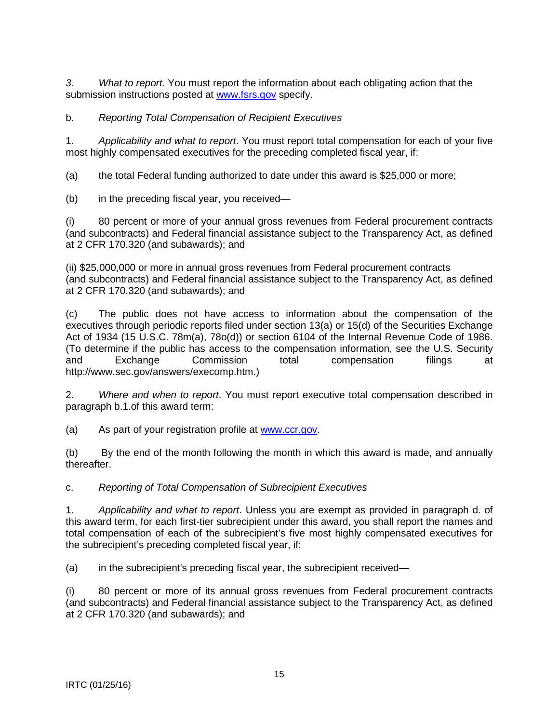*3. What to report*. You must report the information about each obligating action that the submission instructions posted at [www.fsrs.gov](http://www.fsrs.gov/) specify.

# b. *Reporting Total Compensation of Recipient Executives*

1. *Applicability and what to report*. You must report total compensation for each of your five most highly compensated executives for the preceding completed fiscal year, if:

(a) the total Federal funding authorized to date under this award is \$25,000 or more;

(b) in the preceding fiscal year, you received—

(i) 80 percent or more of your annual gross revenues from Federal procurement contracts (and subcontracts) and Federal financial assistance subject to the Transparency Act, as defined at 2 CFR 170.320 (and subawards); and

(ii) \$25,000,000 or more in annual gross revenues from Federal procurement contracts (and subcontracts) and Federal financial assistance subject to the Transparency Act, as defined at 2 CFR 170.320 (and subawards); and

(c) The public does not have access to information about the compensation of the executives through periodic reports filed under section 13(a) or 15(d) of the Securities Exchange Act of 1934 (15 U.S.C. 78m(a), 78o(d)) or section 6104 of the Internal Revenue Code of 1986. (To determine if the public has access to the compensation information, see the U.S. Security and Exchange Commission total compensation filings at http://www.sec.gov/answers/execomp.htm.)

2. *Where and when to report*. You must report executive total compensation described in paragraph b.1.of this award term:

(a) As part of your registration profile at [www.ccr.gov.](http://www.ccr.gov/)

(b) By the end of the month following the month in which this award is made, and annually thereafter.

c. *Reporting of Total Compensation of Subrecipient Executives*

1. *Applicability and what to report*. Unless you are exempt as provided in paragraph d. of this award term, for each first-tier subrecipient under this award, you shall report the names and total compensation of each of the subrecipient's five most highly compensated executives for the subrecipient's preceding completed fiscal year, if:

(a) in the subrecipient's preceding fiscal year, the subrecipient received—

(i) 80 percent or more of its annual gross revenues from Federal procurement contracts (and subcontracts) and Federal financial assistance subject to the Transparency Act, as defined at 2 CFR 170.320 (and subawards); and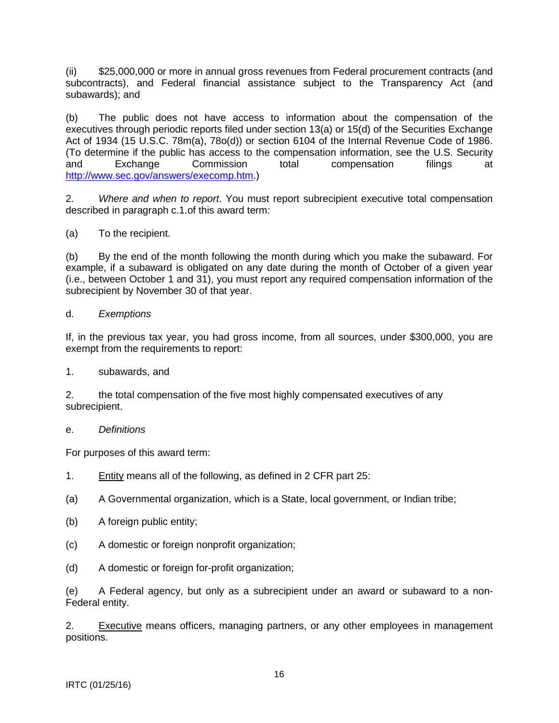(ii) \$25,000,000 or more in annual gross revenues from Federal procurement contracts (and subcontracts), and Federal financial assistance subject to the Transparency Act (and subawards); and

(b) The public does not have access to information about the compensation of the executives through periodic reports filed under section 13(a) or 15(d) of the Securities Exchange Act of 1934 (15 U.S.C. 78m(a), 78o(d)) or section 6104 of the Internal Revenue Code of 1986. (To determine if the public has access to the compensation information, see the U.S. Security and Exchange Commission total compensation filings at [http://www.sec.gov/answers/execomp.htm.](http://www.sec.gov/answers/execomp.htm))

2. *Where and when to report*. You must report subrecipient executive total compensation described in paragraph c.1.of this award term:

(a) To the recipient.

(b) By the end of the month following the month during which you make the subaward. For example, if a subaward is obligated on any date during the month of October of a given year (i.e., between October 1 and 31), you must report any required compensation information of the subrecipient by November 30 of that year.

#### d. *Exemptions*

If, in the previous tax year, you had gross income, from all sources, under \$300,000, you are exempt from the requirements to report:

1. subawards, and

2. the total compensation of the five most highly compensated executives of any subrecipient.

#### e. *Definitions*

For purposes of this award term:

- 1. Entity means all of the following, as defined in 2 CFR part 25:
- (a) A Governmental organization, which is a State, local government, or Indian tribe;
- (b) A foreign public entity;
- (c) A domestic or foreign nonprofit organization;
- (d) A domestic or foreign for-profit organization;

(e) A Federal agency, but only as a subrecipient under an award or subaward to a non-Federal entity.

2. Executive means officers, managing partners, or any other employees in management positions.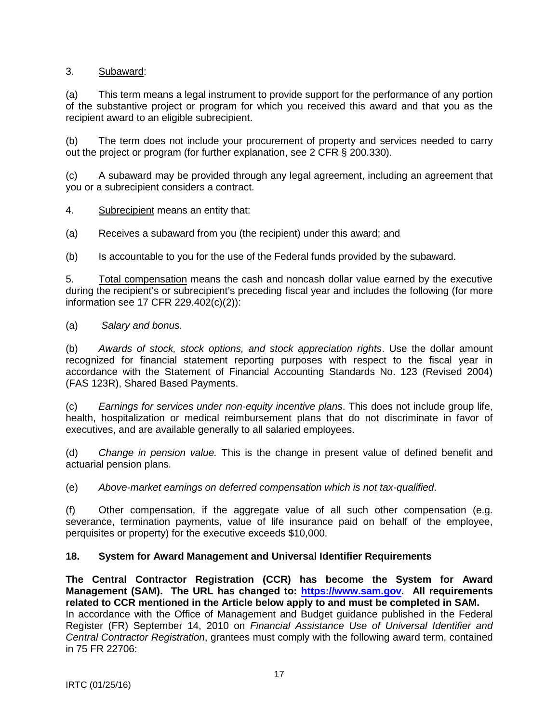# <span id="page-16-0"></span>3. Subaward:

(a) This term means a legal instrument to provide support for the performance of any portion of the substantive project or program for which you received this award and that you as the recipient award to an eligible subrecipient.

(b) The term does not include your procurement of property and services needed to carry out the project or program (for further explanation, see 2 CFR § 200.330).

(c) A subaward may be provided through any legal agreement, including an agreement that you or a subrecipient considers a contract.

4. Subrecipient means an entity that:

(a) Receives a subaward from you (the recipient) under this award; and

(b) Is accountable to you for the use of the Federal funds provided by the subaward.

5. Total compensation means the cash and noncash dollar value earned by the executive during the recipient's or subrecipient's preceding fiscal year and includes the following (for more information see 17 CFR 229.402(c)(2)):

(a) *Salary and bonus*.

(b) *Awards of stock, stock options, and stock appreciation rights*. Use the dollar amount recognized for financial statement reporting purposes with respect to the fiscal year in accordance with the Statement of Financial Accounting Standards No. 123 (Revised 2004) (FAS 123R), Shared Based Payments.

(c) *Earnings for services under non-equity incentive plans*. This does not include group life, health, hospitalization or medical reimbursement plans that do not discriminate in favor of executives, and are available generally to all salaried employees.

(d) *Change in pension value.* This is the change in present value of defined benefit and actuarial pension plans.

(e) *Above-market earnings on deferred compensation which is not tax-qualified*.

(f) Other compensation, if the aggregate value of all such other compensation (e.g. severance, termination payments, value of life insurance paid on behalf of the employee, perquisites or property) for the executive exceeds \$10,000.

# **18. System for Award Management and Universal Identifier Requirements**

**The Central Contractor Registration (CCR) has become the System for Award Management (SAM). The URL has changed to: [https://www.sam.gov.](https://www.sam.gov/) All requirements related to CCR mentioned in the Article below apply to and must be completed in SAM.**  In accordance with the Office of Management and Budget guidance published in the Federal Register (FR) September 14, 2010 on *Financial Assistance Use of Universal Identifier and Central Contractor Registration*, grantees must comply with the following award term, contained in 75 FR 22706: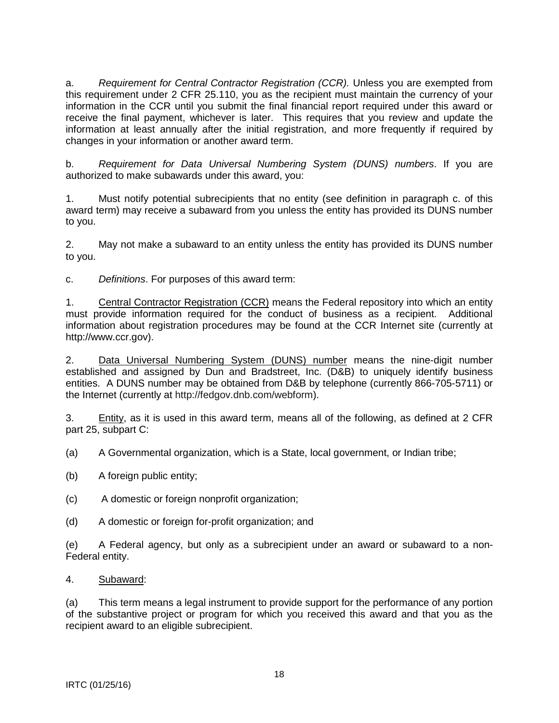a. *Requirement for Central Contractor Registration (CCR).* Unless you are exempted from this requirement under 2 CFR 25.110, you as the recipient must maintain the currency of your information in the CCR until you submit the final financial report required under this award or receive the final payment, whichever is later. This requires that you review and update the information at least annually after the initial registration, and more frequently if required by changes in your information or another award term.

b. *Requirement for Data Universal Numbering System (DUNS) numbers*. If you are authorized to make subawards under this award, you:

1. Must notify potential subrecipients that no entity (see definition in paragraph c. of this award term) may receive a subaward from you unless the entity has provided its DUNS number to you.

2. May not make a subaward to an entity unless the entity has provided its DUNS number to you.

c. *Definitions*. For purposes of this award term:

1. Central Contractor Registration (CCR) means the Federal repository into which an entity must provide information required for the conduct of business as a recipient. Additional information about registration procedures may be found at the CCR Internet site (currently at http://www.ccr.gov).

2. Data Universal Numbering System (DUNS) number means the nine-digit number established and assigned by Dun and Bradstreet, Inc. (D&B) to uniquely identify business entities. A DUNS number may be obtained from D&B by telephone (currently 866-705-5711) or the Internet (currently at http://fedgov.dnb.com/webform).

3. Entity, as it is used in this award term, means all of the following, as defined at 2 CFR part 25, subpart C:

(a) A Governmental organization, which is a State, local government, or Indian tribe;

- (b) A foreign public entity;
- (c) A domestic or foreign nonprofit organization;
- (d) A domestic or foreign for-profit organization; and

(e) A Federal agency, but only as a subrecipient under an award or subaward to a non-Federal entity.

# 4. Subaward:

(a) This term means a legal instrument to provide support for the performance of any portion of the substantive project or program for which you received this award and that you as the recipient award to an eligible subrecipient.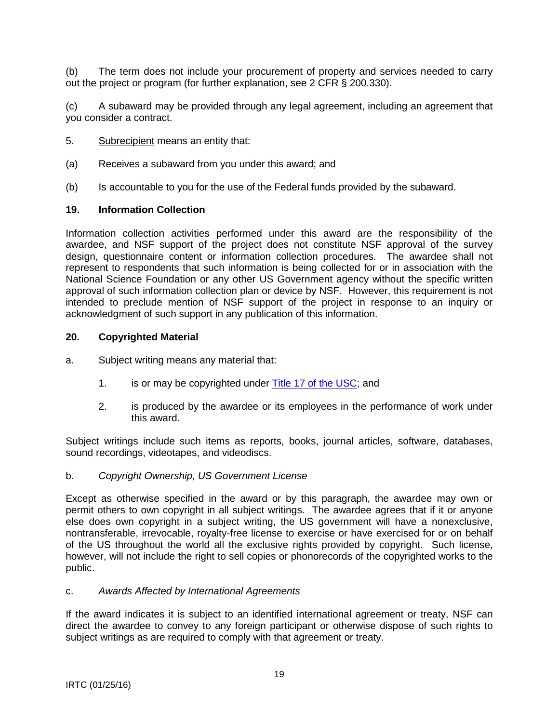<span id="page-18-0"></span>(b) The term does not include your procurement of property and services needed to carry out the project or program (for further explanation, see 2 CFR § 200.330).

(c) A subaward may be provided through any legal agreement, including an agreement that you consider a contract.

- 5. Subrecipient means an entity that:
- (a) Receives a subaward from you under this award; and
- (b) Is accountable to you for the use of the Federal funds provided by the subaward.

### **19. Information Collection**

Information collection activities performed under this award are the responsibility of the awardee, and NSF support of the project does not constitute NSF approval of the survey design, questionnaire content or information collection procedures. The awardee shall not represent to respondents that such information is being collected for or in association with the National Science Foundation or any other US Government agency without the specific written approval of such information collection plan or device by NSF. However, this requirement is not intended to preclude mention of NSF support of the project in response to an inquiry or acknowledgment of such support in any publication of this information.

### **20. Copyrighted Material**

- a. Subject writing means any material that:
	- 1. is or may be copyrighted under [Title 17 of the USC;](http://www.copyright.gov/title17/) and
	- 2. is produced by the awardee or its employees in the performance of work under this award.

Subject writings include such items as reports, books, journal articles, software, databases, sound recordings, videotapes, and videodiscs.

### b. *Copyright Ownership, US Government License*

Except as otherwise specified in the award or by this paragraph, the awardee may own or permit others to own copyright in all subject writings. The awardee agrees that if it or anyone else does own copyright in a subject writing, the US government will have a nonexclusive, nontransferable, irrevocable, royalty-free license to exercise or have exercised for or on behalf of the US throughout the world all the exclusive rights provided by copyright. Such license, however, will not include the right to sell copies or phonorecords of the copyrighted works to the public.

#### c. *Awards Affected by International Agreements*

If the award indicates it is subject to an identified international agreement or treaty, NSF can direct the awardee to convey to any foreign participant or otherwise dispose of such rights to subject writings as are required to comply with that agreement or treaty.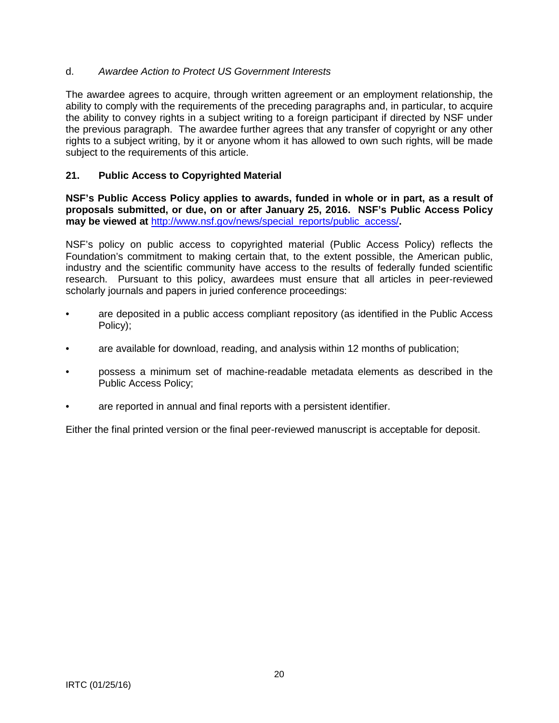# <span id="page-19-0"></span>d. *Awardee Action to Protect US Government Interests*

The awardee agrees to acquire, through written agreement or an employment relationship, the ability to comply with the requirements of the preceding paragraphs and, in particular, to acquire the ability to convey rights in a subject writing to a foreign participant if directed by NSF under the previous paragraph. The awardee further agrees that any transfer of copyright or any other rights to a subject writing, by it or anyone whom it has allowed to own such rights, will be made subject to the requirements of this article.

# **21. Public Access to Copyrighted Material**

**NSF's Public Access Policy applies to awards, funded in whole or in part, as a result of proposals submitted, or due, on or after January 25, 2016. NSF's Public Access Policy may be viewed at** [http://www.nsf.gov/news/special\\_reports/public\\_access/](http://www.nsf.gov/news/special_reports/public_access/)**.**

NSF's policy on public access to copyrighted material (Public Access Policy) reflects the Foundation's commitment to making certain that, to the extent possible, the American public, industry and the scientific community have access to the results of federally funded scientific research. Pursuant to this policy, awardees must ensure that all articles in peer-reviewed scholarly journals and papers in juried conference proceedings:

- are deposited in a public access compliant repository (as identified in the Public Access Policy);
- are available for download, reading, and analysis within 12 months of publication;
- possess a minimum set of machine-readable metadata elements as described in the Public Access Policy;
- are reported in annual and final reports with a persistent identifier.

Either the final printed version or the final peer-reviewed manuscript is acceptable for deposit.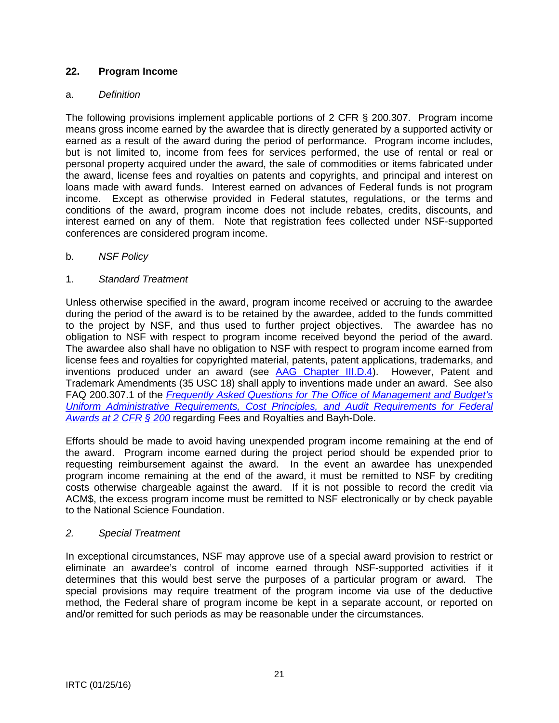# <span id="page-20-0"></span>**22. Program Income**

# a. *Definition*

The following provisions implement applicable portions of 2 CFR § 200.307. Program income means gross income earned by the awardee that is directly generated by a supported activity or earned as a result of the award during the period of performance. Program income includes, but is not limited to, income from fees for services performed, the use of rental or real or personal property acquired under the award, the sale of commodities or items fabricated under the award, license fees and royalties on patents and copyrights, and principal and interest on loans made with award funds. Interest earned on advances of Federal funds is not program income. Except as otherwise provided in Federal statutes, regulations, or the terms and conditions of the award, program income does not include rebates, credits, discounts, and interest earned on any of them. Note that registration fees collected under NSF-supported conferences are considered program income.

# b. *NSF Policy*

# 1. *Standard Treatment*

Unless otherwise specified in the award, program income received or accruing to the awardee during the period of the award is to be retained by the awardee, added to the funds committed to the project by NSF, and thus used to further project objectives. The awardee has no obligation to NSF with respect to program income received beyond the period of the award. The awardee also shall have no obligation to NSF with respect to program income earned from license fees and royalties for copyrighted material, patents, patent applications, trademarks, and inventions produced under an award (see [AAG Chapter III.D.4\)](http://www.nsf.gov/pubs/policydocs/pappguide/nsf16001/aag_3.jsp#IIID4). However, Patent and Trademark Amendments (35 USC 18) shall apply to inventions made under an award. See also FAQ 200.307.1 of the *[Frequently Asked Questions for The Office of Management and Budget's](https://cfo.gov/wp-content/uploads/2015/09/9.9.15-Frequently-Asked-Questions.pdf)  [Uniform Administrative Requirements, Cost Principles, and Audit Requirements for Federal](https://cfo.gov/wp-content/uploads/2015/09/9.9.15-Frequently-Asked-Questions.pdf)  [Awards at 2 CFR § 200](https://cfo.gov/wp-content/uploads/2015/09/9.9.15-Frequently-Asked-Questions.pdf)* regarding Fees and Royalties and Bayh-Dole.

Efforts should be made to avoid having unexpended program income remaining at the end of the award. Program income earned during the project period should be expended prior to requesting reimbursement against the award. In the event an awardee has unexpended program income remaining at the end of the award, it must be remitted to NSF by crediting costs otherwise chargeable against the award. If it is not possible to record the credit via ACM\$, the excess program income must be remitted to NSF electronically or by check payable to the National Science Foundation.

# *2. Special Treatment*

In exceptional circumstances, NSF may approve use of a special award provision to restrict or eliminate an awardee's control of income earned through NSF-supported activities if it determines that this would best serve the purposes of a particular program or award. The special provisions may require treatment of the program income via use of the deductive method, the Federal share of program income be kept in a separate account, or reported on and/or remitted for such periods as may be reasonable under the circumstances.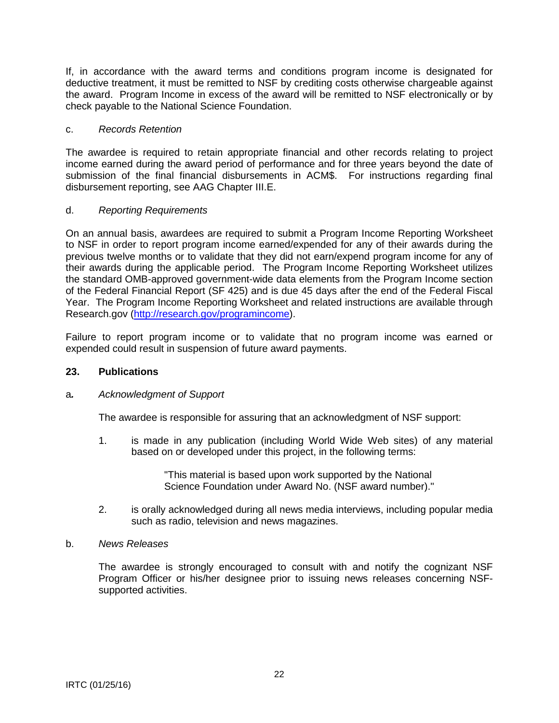<span id="page-21-0"></span>If, in accordance with the award terms and conditions program income is designated for deductive treatment, it must be remitted to NSF by crediting costs otherwise chargeable against the award. Program Income in excess of the award will be remitted to NSF electronically or by check payable to the National Science Foundation.

### c. *Records Retention*

The awardee is required to retain appropriate financial and other records relating to project income earned during the award period of performance and for three years beyond the date of submission of the final financial disbursements in ACM\$. For instructions regarding final disbursement reporting, see AAG Chapter III.E.

### d. *Reporting Requirements*

On an annual basis, awardees are required to submit a Program Income Reporting Worksheet to NSF in order to report program income earned/expended for any of their awards during the previous twelve months or to validate that they did not earn/expend program income for any of their awards during the applicable period. The Program Income Reporting Worksheet utilizes the standard OMB-approved government-wide data elements from the Program Income section of the Federal Financial Report (SF 425) and is due 45 days after the end of the Federal Fiscal Year. The Program Income Reporting Worksheet and related instructions are available through Research.gov [\(http://research.gov/programincome\)](http://research.gov/programincome).

Failure to report program income or to validate that no program income was earned or expended could result in suspension of future award payments.

#### **23. Publications**

#### a*. Acknowledgment of Support*

The awardee is responsible for assuring that an acknowledgment of NSF support:

1. is made in any publication (including World Wide Web sites) of any material based on or developed under this project, in the following terms:

> "This material is based upon work supported by the National Science Foundation under Award No. (NSF award number)."

2. is orally acknowledged during all news media interviews, including popular media such as radio, television and news magazines.

# b. *News Releases*

The awardee is strongly encouraged to consult with and notify the cognizant NSF Program Officer or his/her designee prior to issuing news releases concerning NSFsupported activities.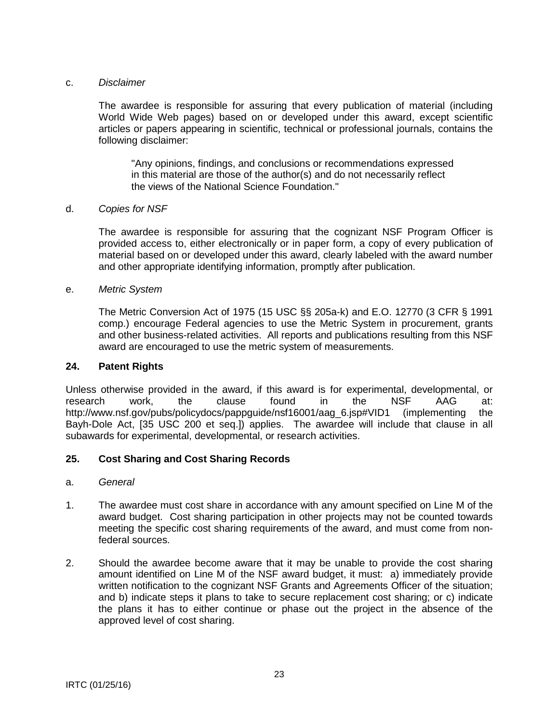#### <span id="page-22-0"></span>c. *Disclaimer*

The awardee is responsible for assuring that every publication of material (including World Wide Web pages) based on or developed under this award, except scientific articles or papers appearing in scientific, technical or professional journals, contains the following disclaimer:

"Any opinions, findings, and conclusions or recommendations expressed in this material are those of the author(s) and do not necessarily reflect the views of the National Science Foundation."

#### d. *Copies for NSF*

The awardee is responsible for assuring that the cognizant NSF Program Officer is provided access to, either electronically or in paper form, a copy of every publication of material based on or developed under this award, clearly labeled with the award number and other appropriate identifying information, promptly after publication.

#### e. *Metric System*

The Metric Conversion Act of 1975 (15 USC §§ 205a-k) and E.O. 12770 (3 CFR § 1991 comp.) encourage Federal agencies to use the Metric System in procurement, grants and other business-related activities. All reports and publications resulting from this NSF award are encouraged to use the metric system of measurements.

#### **24. Patent Rights**

Unless otherwise provided in the award, if this award is for experimental, developmental, or research work, the clause found in the NSF AAG at: http://www.nsf.gov/pubs/policydocs/pappguide/nsf16001/aag 6.jsp#VID1 (implementing the Bayh-Dole Act, [35 USC 200 et seq.]) applies. The awardee will include that clause in all subawards for experimental, developmental, or research activities.

# **25. Cost Sharing and Cost Sharing Records**

#### a. *General*

- 1. The awardee must cost share in accordance with any amount specified on Line M of the award budget. Cost sharing participation in other projects may not be counted towards meeting the specific cost sharing requirements of the award, and must come from nonfederal sources.
- 2. Should the awardee become aware that it may be unable to provide the cost sharing amount identified on Line M of the NSF award budget, it must: a) immediately provide written notification to the cognizant NSF Grants and Agreements Officer of the situation; and b) indicate steps it plans to take to secure replacement cost sharing; or c) indicate the plans it has to either continue or phase out the project in the absence of the approved level of cost sharing.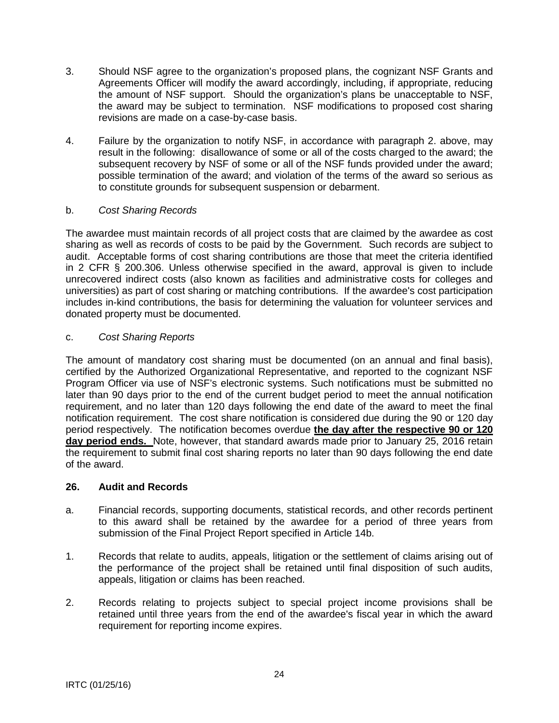- <span id="page-23-0"></span>3. Should NSF agree to the organization's proposed plans, the cognizant NSF Grants and Agreements Officer will modify the award accordingly, including, if appropriate, reducing the amount of NSF support. Should the organization's plans be unacceptable to NSF, the award may be subject to termination. NSF modifications to proposed cost sharing revisions are made on a case-by-case basis.
- 4. Failure by the organization to notify NSF, in accordance with paragraph 2. above, may result in the following: disallowance of some or all of the costs charged to the award; the subsequent recovery by NSF of some or all of the NSF funds provided under the award; possible termination of the award; and violation of the terms of the award so serious as to constitute grounds for subsequent suspension or debarment.

# b. *Cost Sharing Records*

The awardee must maintain records of all project costs that are claimed by the awardee as cost sharing as well as records of costs to be paid by the Government. Such records are subject to audit. Acceptable forms of cost sharing contributions are those that meet the criteria identified in 2 CFR § 200.306. Unless otherwise specified in the award, approval is given to include unrecovered indirect costs (also known as facilities and administrative costs for colleges and universities) as part of cost sharing or matching contributions. If the awardee's cost participation includes in-kind contributions, the basis for determining the valuation for volunteer services and donated property must be documented.

# c. *Cost Sharing Reports*

The amount of mandatory cost sharing must be documented (on an annual and final basis), certified by the Authorized Organizational Representative, and reported to the cognizant NSF Program Officer via use of NSF's electronic systems. Such notifications must be submitted no later than 90 days prior to the end of the current budget period to meet the annual notification requirement, and no later than 120 days following the end date of the award to meet the final notification requirement. The cost share notification is considered due during the 90 or 120 day period respectively. The notification becomes overdue **the day after the respective 90 or 120 day period ends.** Note, however, that standard awards made prior to January 25, 2016 retain the requirement to submit final cost sharing reports no later than 90 days following the end date of the award.

# **26. Audit and Records**

- a. Financial records, supporting documents, statistical records, and other records pertinent to this award shall be retained by the awardee for a period of three years from submission of the Final Project Report specified in Article 14b.
- 1. Records that relate to audits, appeals, litigation or the settlement of claims arising out of the performance of the project shall be retained until final disposition of such audits, appeals, litigation or claims has been reached.
- 2. Records relating to projects subject to special project income provisions shall be retained until three years from the end of the awardee's fiscal year in which the award requirement for reporting income expires.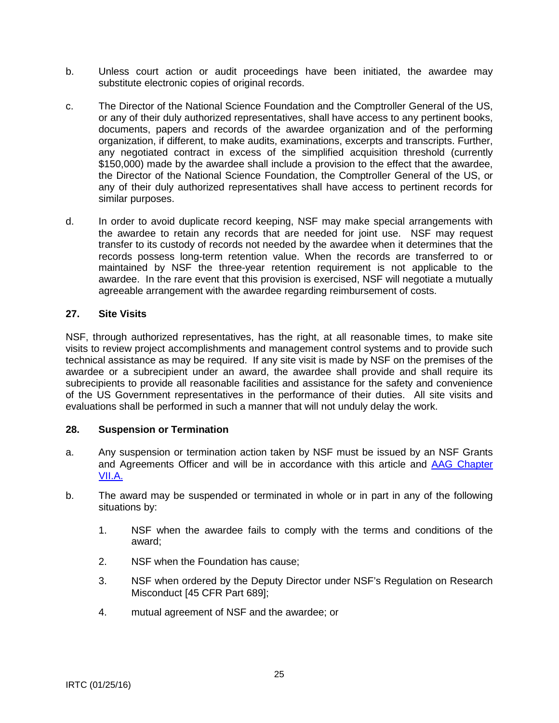- <span id="page-24-0"></span>b. Unless court action or audit proceedings have been initiated, the awardee may substitute electronic copies of original records.
- c. The Director of the National Science Foundation and the Comptroller General of the US, or any of their duly authorized representatives, shall have access to any pertinent books, documents, papers and records of the awardee organization and of the performing organization, if different, to make audits, examinations, excerpts and transcripts. Further, any negotiated contract in excess of the simplified acquisition threshold (currently \$150,000) made by the awardee shall include a provision to the effect that the awardee, the Director of the National Science Foundation, the Comptroller General of the US, or any of their duly authorized representatives shall have access to pertinent records for similar purposes.
- d. In order to avoid duplicate record keeping, NSF may make special arrangements with the awardee to retain any records that are needed for joint use. NSF may request transfer to its custody of records not needed by the awardee when it determines that the records possess long-term retention value. When the records are transferred to or maintained by NSF the three-year retention requirement is not applicable to the awardee. In the rare event that this provision is exercised, NSF will negotiate a mutually agreeable arrangement with the awardee regarding reimbursement of costs.

### **27. Site Visits**

NSF, through authorized representatives, has the right, at all reasonable times, to make site visits to review project accomplishments and management control systems and to provide such technical assistance as may be required. If any site visit is made by NSF on the premises of the awardee or a subrecipient under an award, the awardee shall provide and shall require its subrecipients to provide all reasonable facilities and assistance for the safety and convenience of the US Government representatives in the performance of their duties. All site visits and evaluations shall be performed in such a manner that will not unduly delay the work.

#### **28. Suspension or Termination**

- a. Any suspension or termination action taken by NSF must be issued by an NSF Grants and Agreements Officer and will be in accordance with this article and [AAG Chapter](http://www.nsf.gov/pubs/policydocs/pappguide/nsf16001/aag_7.jsp#VIIA)  [VII.A.](http://www.nsf.gov/pubs/policydocs/pappguide/nsf16001/aag_7.jsp#VIIA)
- b. The award may be suspended or terminated in whole or in part in any of the following situations by:
	- 1. NSF when the awardee fails to comply with the terms and conditions of the award;
	- 2. NSF when the Foundation has cause;
	- 3. NSF when ordered by the Deputy Director under NSF's Regulation on Research Misconduct [45 CFR Part 689];
	- 4. mutual agreement of NSF and the awardee; or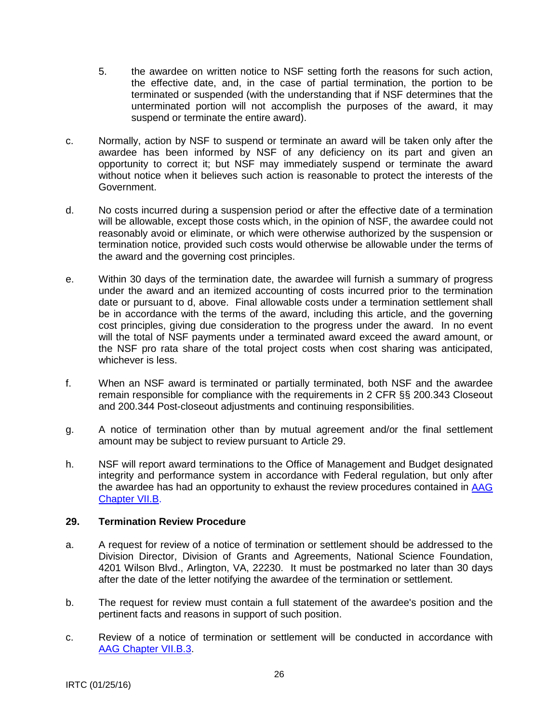- <span id="page-25-0"></span>5. the awardee on written notice to NSF setting forth the reasons for such action, the effective date, and, in the case of partial termination, the portion to be terminated or suspended (with the understanding that if NSF determines that the unterminated portion will not accomplish the purposes of the award, it may suspend or terminate the entire award).
- c. Normally, action by NSF to suspend or terminate an award will be taken only after the awardee has been informed by NSF of any deficiency on its part and given an opportunity to correct it; but NSF may immediately suspend or terminate the award without notice when it believes such action is reasonable to protect the interests of the Government.
- d. No costs incurred during a suspension period or after the effective date of a termination will be allowable, except those costs which, in the opinion of NSF, the awardee could not reasonably avoid or eliminate, or which were otherwise authorized by the suspension or termination notice, provided such costs would otherwise be allowable under the terms of the award and the governing cost principles.
- e. Within 30 days of the termination date, the awardee will furnish a summary of progress under the award and an itemized accounting of costs incurred prior to the termination date or pursuant to d, above. Final allowable costs under a termination settlement shall be in accordance with the terms of the award, including this article, and the governing cost principles, giving due consideration to the progress under the award. In no event will the total of NSF payments under a terminated award exceed the award amount, or the NSF pro rata share of the total project costs when cost sharing was anticipated, whichever is less.
- f. When an NSF award is terminated or partially terminated, both NSF and the awardee remain responsible for compliance with the requirements in 2 CFR §§ 200.343 Closeout and 200.344 Post-closeout adjustments and continuing responsibilities.
- g. A notice of termination other than by mutual agreement and/or the final settlement amount may be subject to review pursuant to Article 29.
- h. NSF will report award terminations to the Office of Management and Budget designated integrity and performance system in accordance with Federal regulation, but only after the awardee has had an opportunity to exhaust the review procedures contained in [AAG](http://www.nsf.gov/pubs/policydocs/pappguide/nsf16001/aag_7.jsp#VIIB)  [Chapter VII.B.](http://www.nsf.gov/pubs/policydocs/pappguide/nsf16001/aag_7.jsp#VIIB)

# **29. Termination Review Procedure**

- a. A request for review of a notice of termination or settlement should be addressed to the Division Director, Division of Grants and Agreements, National Science Foundation, 4201 Wilson Blvd., Arlington, VA, 22230. It must be postmarked no later than 30 days after the date of the letter notifying the awardee of the termination or settlement.
- b. The request for review must contain a full statement of the awardee's position and the pertinent facts and reasons in support of such position.
- c. Review of a notice of termination or settlement will be conducted in accordance with [AAG Chapter VII.B.3.](http://www.nsf.gov/pubs/policydocs/pappguide/nsf16001/aag_7.jsp#VIIB3)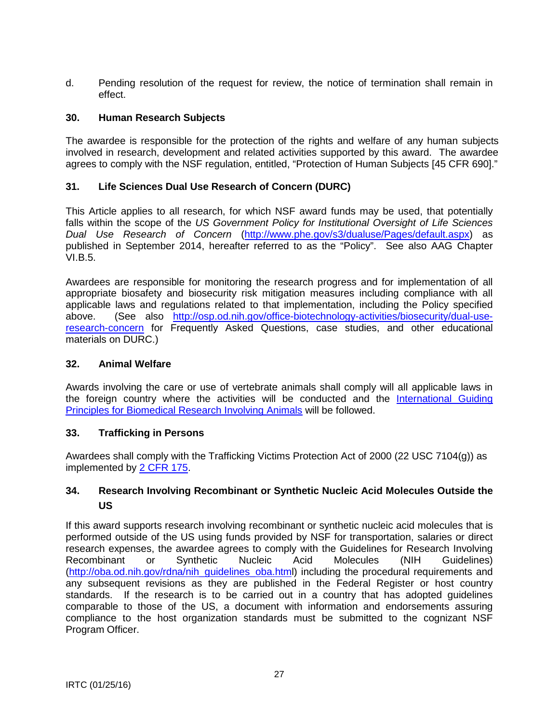<span id="page-26-0"></span>d. Pending resolution of the request for review, the notice of termination shall remain in effect.

### **30. Human Research Subjects**

The awardee is responsible for the protection of the rights and welfare of any human subjects involved in research, development and related activities supported by this award. The awardee agrees to comply with the NSF regulation, entitled, "Protection of Human Subjects [45 CFR 690]."

### **31. Life Sciences Dual Use Research of Concern (DURC)**

This Article applies to all research, for which NSF award funds may be used, that potentially falls within the scope of the *US Government Policy for Institutional Oversight of Life Sciences Dual Use Research of Concern* [\(http://www.phe.gov/s3/dualuse/Pages/default.aspx\)](http://www.phe.gov/s3/dualuse/Pages/default.aspx) as published in September 2014, hereafter referred to as the "Policy". See also AAG Chapter VI.B.5.

Awardees are responsible for monitoring the research progress and for implementation of all appropriate biosafety and biosecurity risk mitigation measures including compliance with all applicable laws and regulations related to that implementation, including the Policy specified<br>above. (See also http://osp.od.nih.gov/office-biotechnology-activities/biosecurity/dual-use(See also [http://osp.od.nih.gov/office-biotechnology-activities/biosecurity/dual-use](http://osp.od.nih.gov/office-biotechnology-activities/biosecurity/dual-use-research-concern)[research-concern](http://osp.od.nih.gov/office-biotechnology-activities/biosecurity/dual-use-research-concern) for Frequently Asked Questions, case studies, and other educational materials on DURC.)

#### **32. Animal Welfare**

Awards involving the care or use of vertebrate animals shall comply will all applicable laws in the foreign country where the activities will be conducted and the [International Guiding](http://grants.nih.gov/grants/olaw/Guiding_Principles_2012.pdf)  [Principles for Biomedical Research Involving Animals](http://grants.nih.gov/grants/olaw/Guiding_Principles_2012.pdf) will be followed.

#### **33. Trafficking in Persons**

Awardees shall comply with the Trafficking Victims Protection Act of 2000 (22 USC 7104(g)) as implemented by [2 CFR 175.](http://www.ecfr.gov/cgi-bin/text-idx?tpl=/ecfrbrowse/Title02/2cfr175_main_02.tpl)

# **34. Research Involving Recombinant or Synthetic Nucleic Acid Molecules Outside the US**

If this award supports research involving recombinant or synthetic nucleic acid molecules that is performed outside of the US using funds provided by NSF for transportation, salaries or direct research expenses, the awardee agrees to comply with the Guidelines for Research Involving Recombinant or Synthetic Nucleic Acid Molecules (NIH Guidelines) [\(http://oba.od.nih.gov/rdna/nih\\_guidelines\\_oba.html](http://oba.od.nih.gov/rdna/nih_guidelines_oba.htm)) including the procedural requirements and any subsequent revisions as they are published in the Federal Register or host country standards. If the research is to be carried out in a country that has adopted guidelines comparable to those of the US, a document with information and endorsements assuring compliance to the host organization standards must be submitted to the cognizant NSF Program Officer.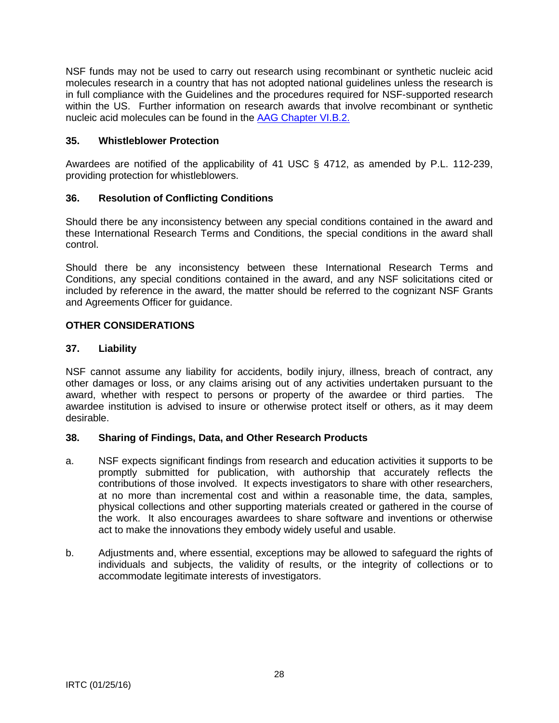<span id="page-27-0"></span>NSF funds may not be used to carry out research using recombinant or synthetic nucleic acid molecules research in a country that has not adopted national guidelines unless the research is in full compliance with the Guidelines and the procedures required for NSF-supported research within the US. Further information on research awards that involve recombinant or synthetic nucleic acid molecules can be found in the [AAG Chapter VI.B.2.](http://www.nsf.gov/pubs/policydocs/pappguide/nsf16001/aag_6.jsp#VIB2)

# **35. Whistleblower Protection**

Awardees are notified of the applicability of 41 USC § 4712, as amended by P.L. 112-239, providing protection for whistleblowers.

# **36. Resolution of Conflicting Conditions**

Should there be any inconsistency between any special conditions contained in the award and these International Research Terms and Conditions, the special conditions in the award shall control.

Should there be any inconsistency between these International Research Terms and Conditions, any special conditions contained in the award, and any NSF solicitations cited or included by reference in the award, the matter should be referred to the cognizant NSF Grants and Agreements Officer for guidance.

# **OTHER CONSIDERATIONS**

# **37. Liability**

NSF cannot assume any liability for accidents, bodily injury, illness, breach of contract, any other damages or loss, or any claims arising out of any activities undertaken pursuant to the award, whether with respect to persons or property of the awardee or third parties. The awardee institution is advised to insure or otherwise protect itself or others, as it may deem desirable.

# **38. Sharing of Findings, Data, and Other Research Products**

- a. NSF expects significant findings from research and education activities it supports to be promptly submitted for publication, with authorship that accurately reflects the contributions of those involved. It expects investigators to share with other researchers, at no more than incremental cost and within a reasonable time, the data, samples, physical collections and other supporting materials created or gathered in the course of the work. It also encourages awardees to share software and inventions or otherwise act to make the innovations they embody widely useful and usable.
- b. Adjustments and, where essential, exceptions may be allowed to safeguard the rights of individuals and subjects, the validity of results, or the integrity of collections or to accommodate legitimate interests of investigators.